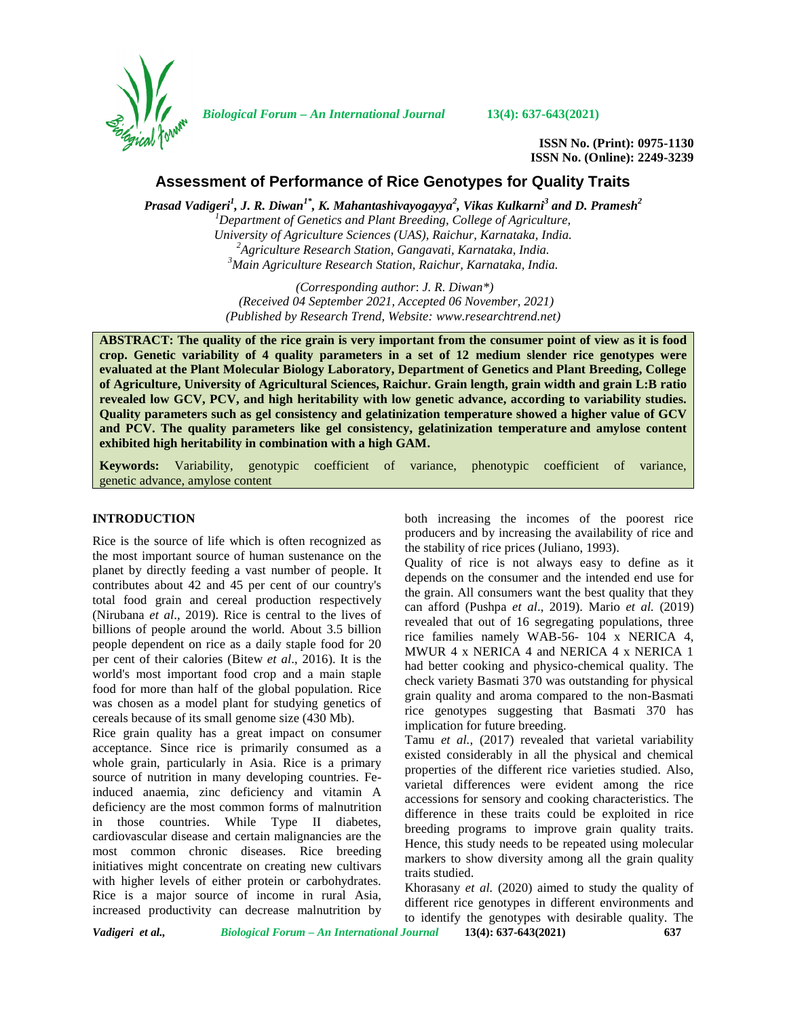

*Biological Forum – An International Journal* **13(4): 637-643(2021)**

**ISSN No. (Print): 0975-1130 ISSN No. (Online): 2249-3239**

# **Assessment of Performance of Rice Genotypes for Quality Traits**

*Prasad Vadigeri<sup>1</sup> , J. R. Diwan1\* , K. Mahantashivayogayya<sup>2</sup> , Vikas Kulkarni<sup>3</sup> and D. Pramesh<sup>2</sup> <sup>1</sup>Department of Genetics and Plant Breeding, College of Agriculture,* <sup>2</sup> Agriculture Research Station, Gangavati, Karnataka, India.<br><sup>3</sup> Main Agriculture Research Station, Raichur, Karnataka, India.

> *(Corresponding author*: *J. R. Diwan\*) (Received 04 September 2021, Accepted 06 November, 2021) (Published by Research Trend, Website: [www.researchtrend.net\)](www.researchtrend.net)*

**ABSTRACT: The quality of the rice grain is very important from the consumer point of view as it is food crop. Genetic variability of 4 quality parameters in a set of 12 medium slender rice genotypes were evaluated at the Plant Molecular Biology Laboratory, Department of Genetics and Plant Breeding, College of Agriculture, University of Agricultural Sciences, Raichur. Grain length, grain width and grain L:B ratio revealed low GCV, PCV, and high heritability with low genetic advance, according to variability studies. Quality parameters such as gel consistency and gelatinization temperature showed a higher value of GCV and PCV. The quality parameters like gel consistency, gelatinization temperature and amylose content exhibited high heritability in combination with a high GAM.**

**Keywords:** Variability, genotypic coefficient of variance, phenotypic coefficient of variance, genetic advance, amylose content

#### **INTRODUCTION**

Rice is the source of life which is often recognized as the most important source of human sustenance on the planet by directly feeding a vast number of people. It contributes about 42 and 45 per cent of our country's total food grain and cereal production respectively (Nirubana *et al*., 2019). Rice is central to the lives of billions of people around the world. About 3.5 billion people dependent on rice as a daily staple food for 20 per cent of their calories (Bitew *et al*., 2016). It is the world's most important food crop and a main staple food for more than half of the global population. Rice was chosen as a model plant for studying genetics of cereals because of its small genome size (430 Mb).

Rice grain quality has a great impact on consumer acceptance. Since rice is primarily consumed as a whole grain, particularly in Asia. Rice is a primary source of nutrition in many developing countries. Feinduced anaemia, zinc deficiency and vitamin A deficiency are the most common forms of malnutrition in those countries. While Type II diabetes, cardiovascular disease and certain malignancies are the most common chronic diseases. Rice breeding initiatives might concentrate on creating new cultivars with higher levels of either protein or carbohydrates. Rice is a major source of income in rural Asia, increased productivity can decrease malnutrition by

both increasing the incomes of the poorest rice producers and by increasing the availability of rice and the stability of rice prices (Juliano, 1993).

Quality of rice is not always easy to define as it depends on the consumer and the intended end use for the grain. All consumers want the best quality that they can afford (Pushpa *et al*., 2019). Mario *et al.* (2019) revealed that out of 16 segregating populations, three rice families namely WAB-56- 104 x NERICA 4, MWUR 4 x NERICA 4 and NERICA 4 x NERICA 1 had better cooking and physico-chemical quality. The check variety Basmati 370 was outstanding for physical grain quality and aroma compared to the non-Basmati rice genotypes suggesting that Basmati 370 has implication for future breeding.

Tamu *et al.,* (2017) revealed that varietal variability existed considerably in all the physical and chemical properties of the different rice varieties studied. Also, varietal differences were evident among the rice accessions for sensory and cooking characteristics. The difference in these traits could be exploited in rice breeding programs to improve grain quality traits. Hence, this study needs to be repeated using molecular markers to show diversity among all the grain quality traits studied.

Khorasany *et al.* (2020) aimed to study the quality of different rice genotypes in different environments and to identify the genotypes with desirable quality. The

*Vadigeri et al., Biological Forum – An International Journal* **13(4): 637-643(2021) 637**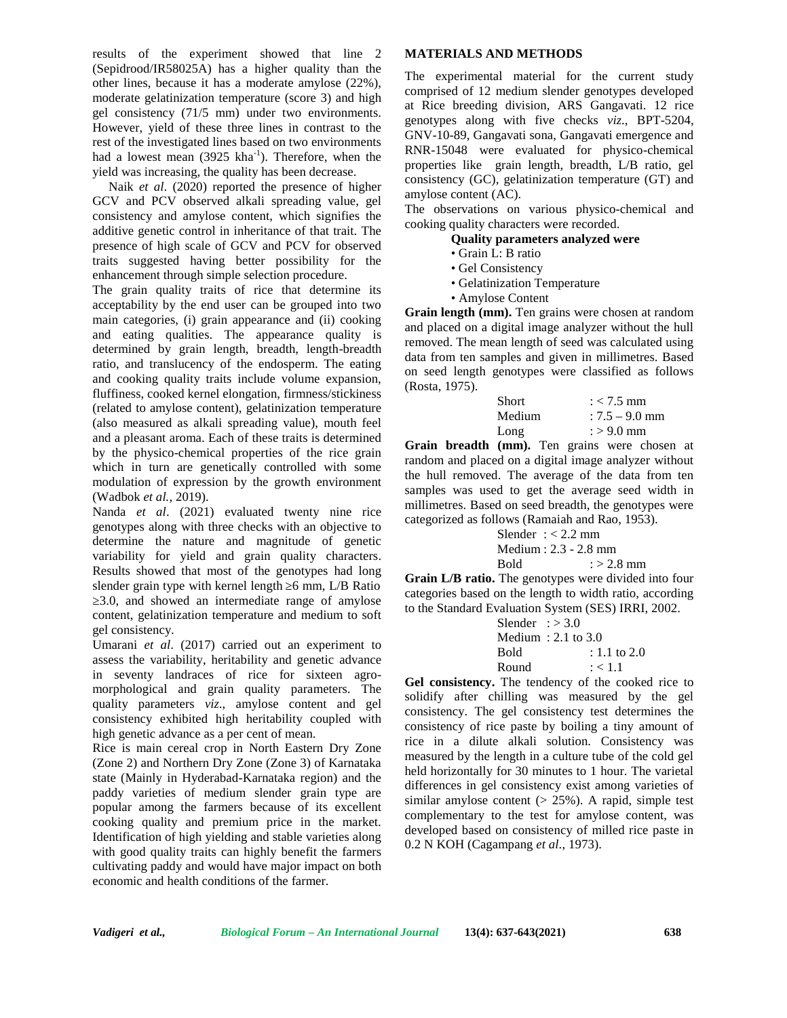results of the experiment showed that line 2 (Sepidrood/IR58025A) has a higher quality than the other lines, because it has a moderate amylose (22%), moderate gelatinization temperature (score 3) and high gel consistency (71/5 mm) under two environments. However, yield of these three lines in contrast to the rest of the investigated lines based on two environments had a lowest mean  $(3925 \text{ kha}^{-1})$ . Therefore, when the yield was increasing, the quality has been decrease.

Naik *et al*. (2020) reported the presence of higher GCV and PCV observed alkali spreading value, gel consistency and amylose content, which signifies the additive genetic control in inheritance of that trait. The presence of high scale of GCV and PCV for observed traits suggested having better possibility for the enhancement through simple selection procedure.

The grain quality traits of rice that determine its acceptability by the end user can be grouped into two main categories, (i) grain appearance and (ii) cooking and eating qualities. The appearance quality is determined by grain length, breadth, length-breadth ratio, and translucency of the endosperm. The eating and cooking quality traits include volume expansion, fluffiness, cooked kernel elongation, firmness/stickiness (related to amylose content), gelatinization temperature (also measured as alkali spreading value), mouth feel and a pleasant aroma. Each of these traits is determined by the physico-chemical properties of the rice grain which in turn are genetically controlled with some modulation of expression by the growth environment (Wadbok *et al.,* 2019).

Nanda *et al*. (2021) evaluated twenty nine rice genotypes along with three checks with an objective to determine the nature and magnitude of genetic variability for yield and grain quality characters. Results showed that most of the genotypes had long slender grain type with kernel length 6 mm, L/B Ratio

≥3.0, and showed an intermediate range of amylose content, gelatinization temperature and medium to soft gel consistency.

Umarani *et al*. (2017) carried out an experiment to assess the variability, heritability and genetic advance in seventy landraces of rice for sixteen agro morphological and grain quality parameters. The quality parameters *viz*., amylose content and gel consistency exhibited high heritability coupled with high genetic advance as a per cent of mean.

Rice is main cereal crop in North Eastern Dry Zone (Zone 2) and Northern Dry Zone (Zone 3) of Karnataka state (Mainly in Hyderabad-Karnataka region) and the paddy varieties of medium slender grain type are popular among the farmers because of its excellent cooking quality and premium price in the market. Identification of high yielding and stable varieties along with good quality traits can highly benefit the farmers cultivating paddy and would have major impact on both economic and health conditions of the farmer.

## **MATERIALS AND METHODS**

The experimental material for the current study comprised of 12 medium slender genotypes developed at Rice breeding division, ARS Gangavati. 12 rice genotypes along with five checks *viz*., BPT-5204, GNV-10-89, Gangavati sona, Gangavati emergence and RNR-15048 were evaluated for physico-chemical properties like grain length, breadth, L/B ratio, gel consistency (GC), gelatinization temperature (GT) and amylose content (AC).

The observations on various physico-chemical and cooking quality characters were recorded.

## **Quality parameters analyzed were**

- Grain L: B ratio
- Gel Consistency
- Gelatinization Temperature
- Amylose Content

**Grain length (mm).** Ten grains were chosen at random and placed on a digital image analyzer without the hull removed. The mean length of seed was calculated using data from ten samples and given in millimetres. Based on seed length genotypes were classified as follows (Rosta, 1975).

| <b>Short</b> | $: < 7.5$ mm     |
|--------------|------------------|
| Medium       | $: 7.5 - 9.0$ mm |
| Long         | $: > 9.0$ mm     |

**Grain breadth (mm).** Ten grains were chosen at random and placed on a digital image analyzer without the hull removed. The average of the data from ten samples was used to get the average seed width in millimetres. Based on seed breadth, the genotypes were categorized as follows (Ramaiah and Rao, 1953).

|        | Slender $: < 2.2$ mm    |
|--------|-------------------------|
|        | Medium : $2.3 - 2.8$ mm |
| - Bold | $:$ > 2.8 mm            |

**Grain L/B ratio.** The genotypes were divided into four categories based on the length to width ratio, according to the Standard Evaluation System (SES) IRRI, 2002.

| Slender $\div 3.0$ |                     |
|--------------------|---------------------|
|                    | Medium : 2.1 to 3.0 |
| <b>Bold</b>        | $: 1.1$ to 2.0      |
| Round              | : < 1.1             |

**Gel consistency.** The tendency of the cooked rice to solidify after chilling was measured by the gel consistency. The gel consistency test determines the consistency of rice paste by boiling a tiny amount of rice in a dilute alkali solution. Consistency was measured by the length in a culture tube of the cold gel held horizontally for 30 minutes to 1 hour. The varietal differences in gel consistency exist among varieties of similar amylose content  $(> 25\%)$ . A rapid, simple test complementary to the test for amylose content, was developed based on consistency of milled rice paste in 0.2 N KOH (Cagampang *et al*., 1973).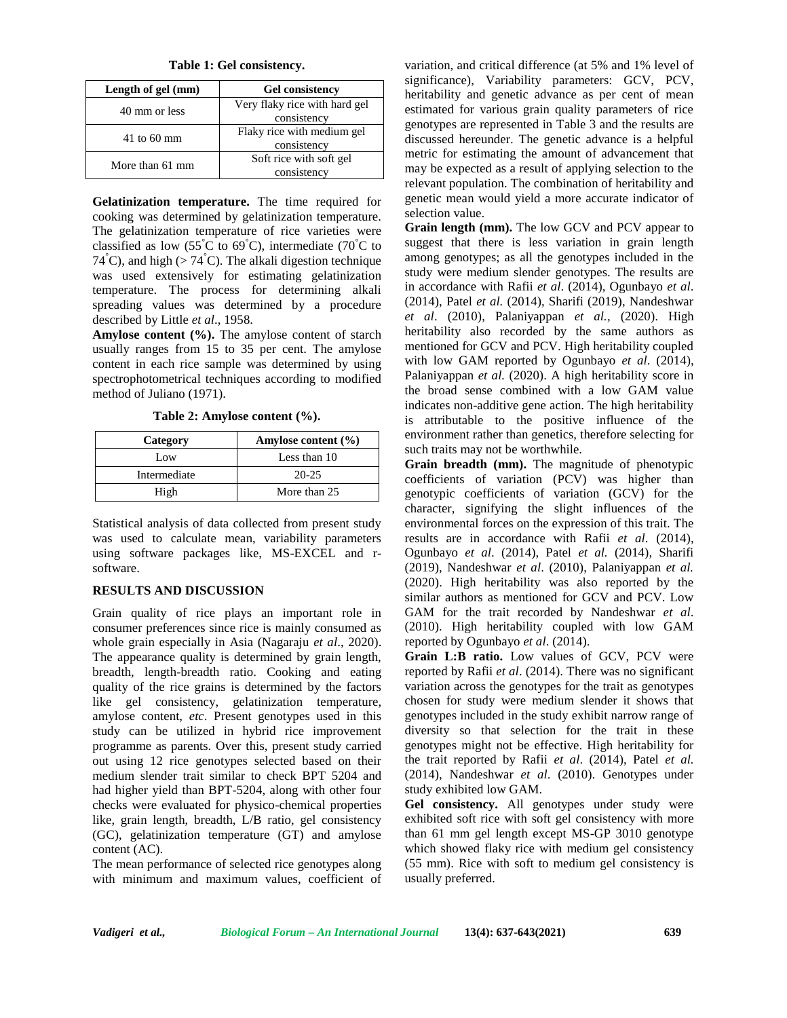**Table 1: Gel consistency.**

| Length of gel (mm) | <b>Gel consistency</b>        |
|--------------------|-------------------------------|
| 40 mm or less      | Very flaky rice with hard gel |
|                    | consistency                   |
| $41$ to 60 mm      | Flaky rice with medium gel    |
|                    | consistency                   |
| More than 61 mm    | Soft rice with soft gel       |
|                    | consistency                   |

**Gelatinization temperature.** The time required for cooking was determined by gelatinization temperature. The gelatinization temperature of rice varieties were classified as low (55°C to 69°C), intermediate (70°C to  $74^{\circ}$ C), and high (>  $74^{\circ}$ C). The alkali digestion technique was used extensively for estimating gelatinization temperature. The process for determining alkali spreading values was determined by a procedure described by Little *et al*., 1958.

**Amylose content (%).** The amylose content of starch usually ranges from 15 to 35 per cent. The amylose content in each rice sample was determined by using spectrophotometrical techniques according to modified method of Juliano (1971).

**Table 2: Amylose content (%).**

| Category     | Amylose content $(\% )$ |
|--------------|-------------------------|
| Low          | Less than 10            |
| Intermediate | 20-25                   |
| High         | More than 25            |

Statistical analysis of data collected from present study was used to calculate mean, variability parameters using software packages like, MS-EXCEL and r software.

# **RESULTS AND DISCUSSION**

Grain quality of rice plays an important role in consumer preferences since rice is mainly consumed as whole grain especially in Asia (Nagaraju *et al*., 2020). The appearance quality is determined by grain length, breadth, length-breadth ratio. Cooking and eating quality of the rice grains is determined by the factors like gel consistency, gelatinization temperature, amylose content, *etc*. Present genotypes used in this study can be utilized in hybrid rice improvement programme as parents. Over this, present study carried out using 12 rice genotypes selected based on their medium slender trait similar to check BPT 5204 and had higher yield than BPT-5204, along with other four checks were evaluated for physico-chemical properties like, grain length, breadth, L/B ratio, gel consistency (GC), gelatinization temperature (GT) and amylose content (AC).

The mean performance of selected rice genotypes along with minimum and maximum values, coefficient of variation, and critical difference (at 5% and 1% level of significance), Variability parameters: GCV, PCV, heritability and genetic advance as per cent of mean estimated for various grain quality parameters of rice genotypes are represented in Table 3 and the results are discussed hereunder. The genetic advance is a helpful metric for estimating the amount of advancement that may be expected as a result of applying selection to the relevant population. The combination of heritability and genetic mean would yield a more accurate indicator of selection value.

**Grain length (mm).** The low GCV and PCV appear to suggest that there is less variation in grain length among genotypes; as all the genotypes included in the study were medium slender genotypes. The results are in accordance with Rafii *et al*. (2014), Ogunbayo *et al*. (2014), Patel *et al.* (2014), Sharifi (2019), Nandeshwar *et al*. (2010), Palaniyappan *et al.,* (2020). High heritability also recorded by the same authors as mentioned for GCV and PCV. High heritability coupled with low GAM reported by Ogunbayo *et al*. (2014), Palaniyappan *et al.* (2020). A high heritability score in the broad sense combined with a low GAM value indicates non-additive gene action. The high heritability is attributable to the positive influence of the environment rather than genetics, therefore selecting for such traits may not be worthwhile.

**Grain breadth (mm).** The magnitude of phenotypic coefficients of variation (PCV) was higher than genotypic coefficients of variation (GCV) for the character, signifying the slight influences of the environmental forces on the expression of this trait. The results are in accordance with Rafii *et al*. (2014), Ogunbayo *et al*. (2014), Patel *et al.* (2014), Sharifi (2019), Nandeshwar *et al*. (2010), Palaniyappan *et al.* (2020). High heritability was also reported by the similar authors as mentioned for GCV and PCV. Low GAM for the trait recorded by Nandeshwar *et al*. (2010). High heritability coupled with low GAM reported by Ogunbayo *et al*. (2014).

**Grain L:B ratio.** Low values of GCV, PCV were reported by Rafii *et al*. (2014). There was no significant variation across the genotypes for the trait as genotypes chosen for study were medium slender it shows that genotypes included in the study exhibit narrow range of diversity so that selection for the trait in these genotypes might not be effective. High heritability for the trait reported by Rafii *et al*. (2014), Patel *et al.* (2014), Nandeshwar *et al*. (2010). Genotypes under study exhibited low GAM.

**Gel consistency.** All genotypes under study were exhibited soft rice with soft gel consistency with more than 61 mm gel length except MS-GP 3010 genotype which showed flaky rice with medium gel consistency (55 mm). Rice with soft to medium gel consistency is usually preferred.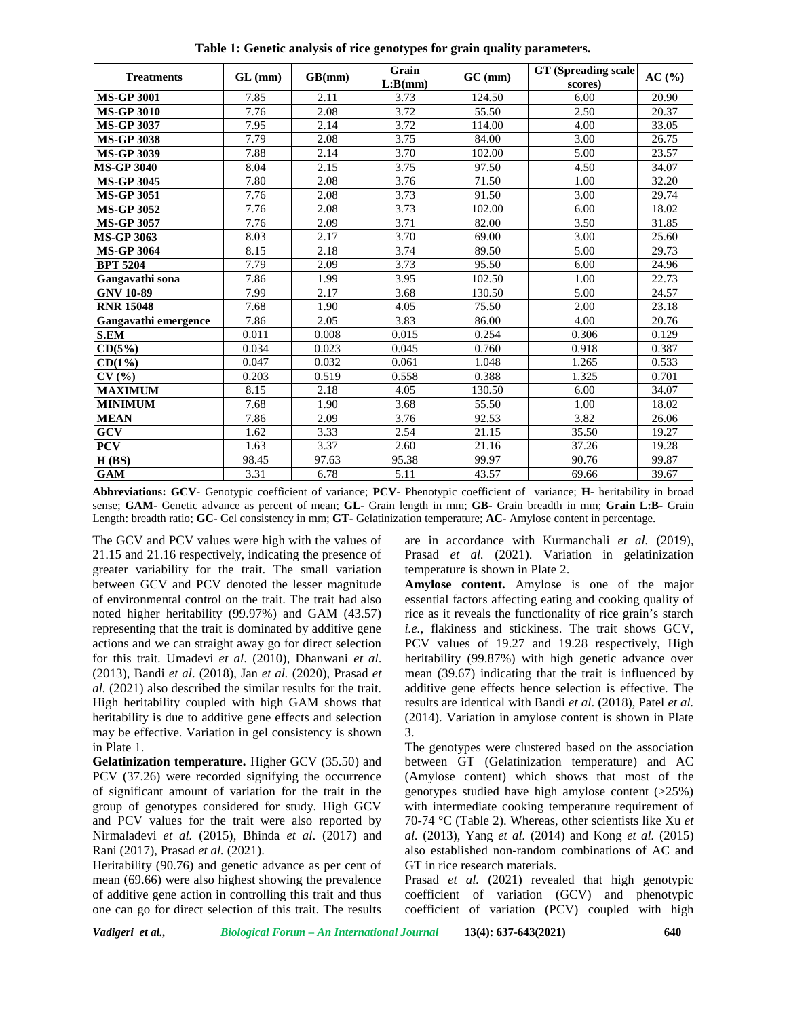| <b>Treatments</b>    | $GL$ (mm) | GB(mm) | Grain<br>L:B(nm) | $GC$ (mm) | <b>GT</b> (Spreading scale)<br>scores) | AC(%) |
|----------------------|-----------|--------|------------------|-----------|----------------------------------------|-------|
| <b>MS-GP 3001</b>    | 7.85      | 2.11   | 3.73             | 124.50    | 6.00                                   | 20.90 |
| <b>MS-GP 3010</b>    | 7.76      | 2.08   | 3.72             | 55.50     | 2.50                                   | 20.37 |
| <b>MS-GP 3037</b>    | 7.95      | 2.14   | 3.72             | 114.00    | 4.00                                   | 33.05 |
| <b>MS-GP 3038</b>    | 7.79      | 2.08   | 3.75             | 84.00     | 3.00                                   | 26.75 |
| <b>MS-GP 3039</b>    | 7.88      | 2.14   | 3.70             | 102.00    | 5.00                                   | 23.57 |
| <b>MS-GP 3040</b>    | 8.04      | 2.15   | 3.75             | 97.50     | 4.50                                   | 34.07 |
| <b>MS-GP 3045</b>    | 7.80      | 2.08   | 3.76             | 71.50     | 1.00                                   | 32.20 |
| <b>MS-GP 3051</b>    | 7.76      | 2.08   | 3.73             | 91.50     | 3.00                                   | 29.74 |
| <b>MS-GP 3052</b>    | 7.76      | 2.08   | 3.73             | 102.00    | 6.00                                   | 18.02 |
| <b>MS-GP 3057</b>    | 7.76      | 2.09   | 3.71             | 82.00     | 3.50                                   | 31.85 |
| <b>MS-GP 3063</b>    | 8.03      | 2.17   | 3.70             | 69.00     | 3.00                                   | 25.60 |
| <b>MS-GP 3064</b>    | 8.15      | 2.18   | 3.74             | 89.50     | 5.00                                   | 29.73 |
| <b>BPT 5204</b>      | 7.79      | 2.09   | 3.73             | 95.50     | 6.00                                   | 24.96 |
| Gangavathi sona      | 7.86      | 1.99   | 3.95             | 102.50    | 1.00                                   | 22.73 |
| <b>GNV 10-89</b>     | 7.99      | 2.17   | 3.68             | 130.50    | 5.00                                   | 24.57 |
| <b>RNR 15048</b>     | 7.68      | 1.90   | 4.05             | 75.50     | 2.00                                   | 23.18 |
| Gangavathi emergence | 7.86      | 2.05   | 3.83             | 86.00     | 4.00                                   | 20.76 |
| <b>S.EM</b>          | 0.011     | 0.008  | 0.015            | 0.254     | 0.306                                  | 0.129 |
| CD(5%)               | 0.034     | 0.023  | 0.045            | 0.760     | 0.918                                  | 0.387 |
| CD(1%)               | 0.047     | 0.032  | 0.061            | 1.048     | 1.265                                  | 0.533 |
| CV(%)                | 0.203     | 0.519  | 0.558            | 0.388     | 1.325                                  | 0.701 |
| <b>MAXIMUM</b>       | 8.15      | 2.18   | 4.05             | 130.50    | 6.00                                   | 34.07 |
| <b>MINIMUM</b>       | 7.68      | 1.90   | 3.68             | 55.50     | 1.00                                   | 18.02 |
| <b>MEAN</b>          | 7.86      | 2.09   | 3.76             | 92.53     | 3.82                                   | 26.06 |
| GCV                  | 1.62      | 3.33   | 2.54             | 21.15     | 35.50                                  | 19.27 |
| <b>PCV</b>           | 1.63      | 3.37   | 2.60             | 21.16     | 37.26                                  | 19.28 |
| H(BS)                | 98.45     | 97.63  | 95.38            | 99.97     | 90.76                                  | 99.87 |
| <b>GAM</b>           | 3.31      | 6.78   | 5.11             | 43.57     | 69.66                                  | 39.67 |

**Table 1: Genetic analysis of rice genotypes for grain quality parameters.**

**Abbreviations: GCV**- Genotypic coefficient of variance; **PCV-** Phenotypic coefficient of variance; **H-** heritability in broad sense; **GAM**- Genetic advance as percent of mean; **GL**- Grain length in mm; **GB-** Grain breadth in mm; **Grain L:B-** Grain Length: breadth ratio; **GC**- Gel consistency in mm; **GT**- Gelatinization temperature; **AC**- Amylose content in percentage.

The GCV and PCV values were high with the values of 21.15 and 21.16 respectively, indicating the presence of greater variability for the trait. The small variation between GCV and PCV denoted the lesser magnitude of environmental control on the trait. The trait had also noted higher heritability (99.97%) and GAM (43.57) representing that the trait is dominated by additive gene actions and we can straight away go for direct selection for this trait. Umadevi *et al*. (2010), Dhanwani *et al*. (2013), Bandi *et al*. (2018), Jan *et al.* (2020), Prasad *et al.* (2021) also described the similar results for the trait. High heritability coupled with high GAM shows that heritability is due to additive gene effects and selection may be effective. Variation in gel consistency is shown in Plate 1.

**Gelatinization temperature.** Higher GCV (35.50) and PCV (37.26) were recorded signifying the occurrence of significant amount of variation for the trait in the group of genotypes considered for study. High GCV and PCV values for the trait were also reported by Nirmaladevi *et al.* (2015), Bhinda *et al*. (2017) and Rani (2017), Prasad *et al.* (2021).

Heritability (90.76) and genetic advance as per cent of mean (69.66) were also highest showing the prevalence of additive gene action in controlling this trait and thus one can go for direct selection of this trait. The results are in accordance with Kurmanchali *et al.* (2019), Prasad *et al.* (2021). Variation in gelatinization temperature is shown in Plate 2.

**Amylose content.** Amylose is one of the major essential factors affecting eating and cooking quality of rice as it reveals the functionality of rice grain's starch *i.e.,* flakiness and stickiness. The trait shows GCV, PCV values of 19.27 and 19.28 respectively, High heritability (99.87%) with high genetic advance over mean (39.67) indicating that the trait is influenced by additive gene effects hence selection is effective. The results are identical with Bandi *et al*. (2018), Patel *et al.* (2014). Variation in amylose content is shown in Plate 3.

The genotypes were clustered based on the association between GT (Gelatinization temperature) and AC (Amylose content) which shows that most of the genotypes studied have high amylose content  $(>25%)$ with intermediate cooking temperature requirement of 70-74 °C (Table 2). Whereas, other scientists like Xu *et al.* (2013), Yang *et al.* (2014) and Kong *et al.* (2015) also established non-random combinations of AC and GT in rice research materials.

Prasad *et al.* (2021) revealed that high genotypic coefficient of variation (GCV) and phenotypic coefficient of variation (PCV) coupled with high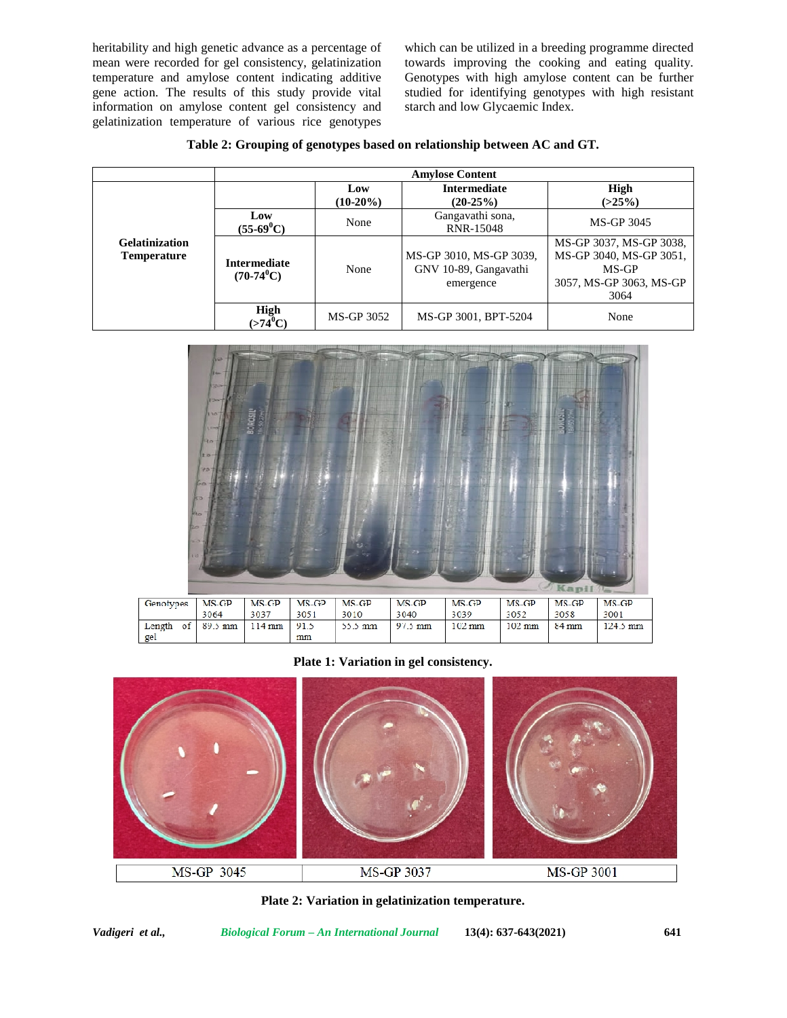heritability and high genetic advance as a percentage of mean were recorded for gel consistency, gelatinization temperature and amylose content indicating additive gene action. The results of this study provide vital information on amylose content gel consistency and gelatinization temperature of various rice genotypes

which can be utilized in a breeding programme directed towards improving the cooking and eating quality. Genotypes with high amylose content can be further studied for identifying genotypes with high resistant starch and low Glycaemic Index.

**Table 2: Grouping of genotypes based on relationship between AC and GT.**

|                                             | <b>Amylose Content</b>              |                    |                                                               |                                                                                                |  |
|---------------------------------------------|-------------------------------------|--------------------|---------------------------------------------------------------|------------------------------------------------------------------------------------------------|--|
|                                             |                                     | Low<br>$(10-20\%)$ | <b>Intermediate</b><br>$(20-25%)$                             | High<br>$(>25\%)$                                                                              |  |
| <b>Gelatinization</b><br><b>Temperature</b> | Low<br>$(55-69^{\circ}C)$           | None               | Gangavathi sona,<br>RNR-15048                                 | MS-GP 3045                                                                                     |  |
|                                             | <b>Intermediate</b><br>$(70-74^0C)$ | None               | MS-GP 3010, MS-GP 3039,<br>GNV 10-89, Gangavathi<br>emergence | MS-GP 3037, MS-GP 3038,<br>MS-GP 3040, MS-GP 3051,<br>MS-GP<br>3057, MS-GP 3063, MS-GP<br>3064 |  |
|                                             | High<br>(>74ºC)                     | MS-GP 3052         | MS-GP 3001, BPT-5204                                          | None                                                                                           |  |



**Plate 1: Variation in gel consistency.**



**Plate 2: Variation in gelatinization temperature.**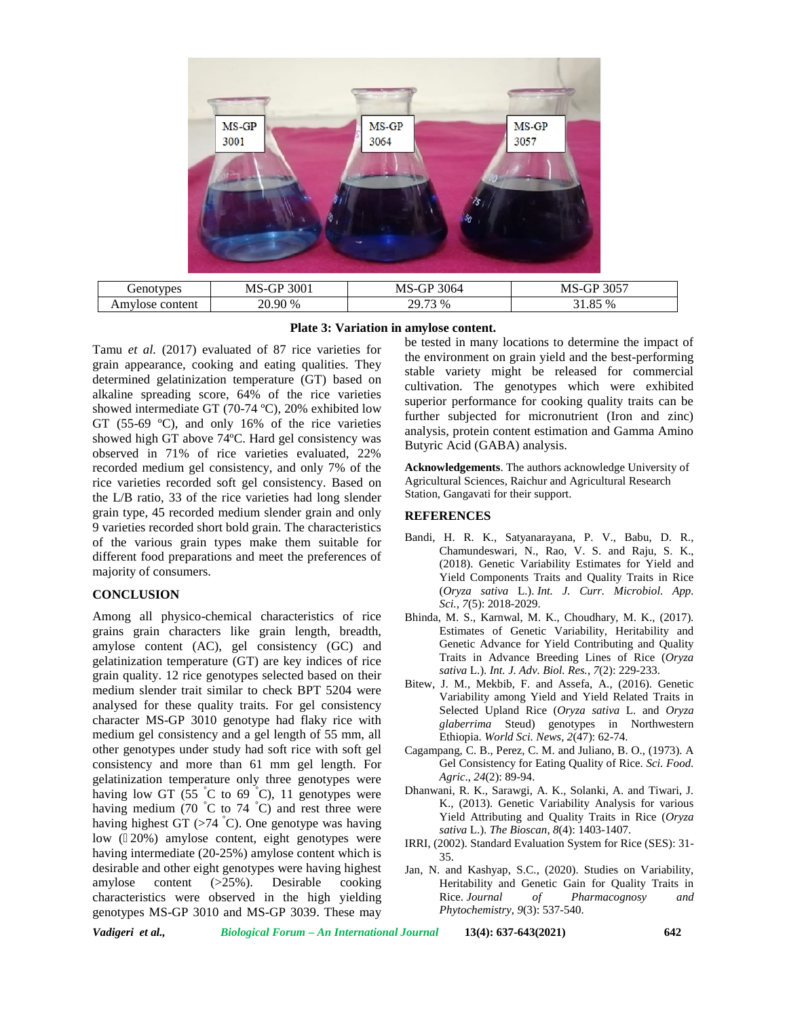

| Plate 3: Variation in amylose content. |
|----------------------------------------|
|                                        |

Tamu *et al.* (2017) evaluated of 87 rice varieties for grain appearance, cooking and eating qualities. They determined gelatinization temperature (GT) based on alkaline spreading score, 64% of the rice varieties showed intermediate GT (70-74 ºC), 20% exhibited low GT (55-69 ºC), and only 16% of the rice varieties showed high GT above 74ºC. Hard gel consistency was observed in 71% of rice varieties evaluated, 22% recorded medium gel consistency, and only 7% of the rice varieties recorded soft gel consistency. Based on the L/B ratio, 33 of the rice varieties had long slender grain type, 45 recorded medium slender grain and only 9 varieties recorded short bold grain. The characteristics of the various grain types make them suitable for different food preparations and meet the preferences of majority of consumers.

# **CONCLUSION**

Among all physico-chemical characteristics of rice grains grain characters like grain length, breadth, amylose content (AC), gel consistency (GC) and gelatinization temperature (GT) are key indices of rice grain quality. 12 rice genotypes selected based on their medium slender trait similar to check BPT 5204 were analysed for these quality traits. For gel consistency character MS-GP 3010 genotype had flaky rice with medium gel consistency and a gel length of 55 mm, all other genotypes under study had soft rice with soft gel consistency and more than 61 mm gel length. For gelatinization temperature only three genotypes were having low GT (55  $\degree$ C to 69  $\degree$ C), 11 genotypes were having medium (70  $\degree$ C to 74  $\degree$ C) and rest three were having highest GT  $(>74 \degree C)$ . One genotype was having low ( $20\%$ ) amylose content, eight genotypes were having intermediate (20-25%) amylose content which is desirable and other eight genotypes were having highest amylose content (>25%). Desirable cooking characteristics were observed in the high yielding genotypes MS-GP 3010 and MS-GP 3039. These may

be tested in many locations to determine the impact of the environment on grain yield and the best-performing stable variety might be released for commercial cultivation. The genotypes which were exhibited superior performance for cooking quality traits can be further subjected for micronutrient (Iron and zinc) analysis, protein content estimation and Gamma Amino Butyric Acid (GABA) analysis.

**Acknowledgements**. The authors acknowledge University of Agricultural Sciences, Raichur and Agricultural Research Station, Gangavati for their support.

#### **REFERENCES**

- Bandi, H. R. K., Satyanarayana, P. V., Babu, D. R., Chamundeswari, N., Rao, V. S. and Raju, S. K., (2018). Genetic Variability Estimates for Yield and Yield Components Traits and Quality Traits in Rice (*Oryza sativa* L.). *Int. J. Curr. Microbiol. App. Sci., 7*(5): 2018-2029.
- Bhinda, M. S., Karnwal, M. K., Choudhary, M. K., (2017). Estimates of Genetic Variability, Heritability and Genetic Advance for Yield Contributing and Quality Traits in Advance Breeding Lines of Rice (*Oryza sativa* L.). *Int. J. Adv. Biol. Res.*, *7*(2): 229-233.
- Bitew, J. M., Mekbib, F. and Assefa, A., (2016). Genetic Variability among Yield and Yield Related Traits in Selected Upland Rice (*Oryza sativa* L. and *Oryza glaberrima* Steud) genotypes in Northwestern Ethiopia. *World Sci. News*, *2*(47): 62-74.
- Cagampang, C. B., Perez, C. M. and Juliano, B. O., (1973). A Gel Consistency for Eating Quality of Rice. *Sci. Food. Agric*., *24*(2): 89-94.
- Dhanwani, R. K., Sarawgi, A. K., Solanki, A. and Tiwari, J. K., (2013). Genetic Variability Analysis for various Yield Attributing and Quality Traits in Rice (*Oryza sativa* L.). *The Bioscan*, *8*(4): 1403-1407.
- IRRI, (2002). Standard Evaluation System for Rice (SES): 31- 35.
- Jan, N. and Kashyap, S.C., (2020). Studies on Variability, Heritability and Genetic Gain for Quality Traits in Rice. *Journal of Pharmacognosy and Phytochemistry*, *9*(3): 537-540.

*Vadigeri et al., Biological Forum – An International Journal* **13(4): 637-643(2021) 642**